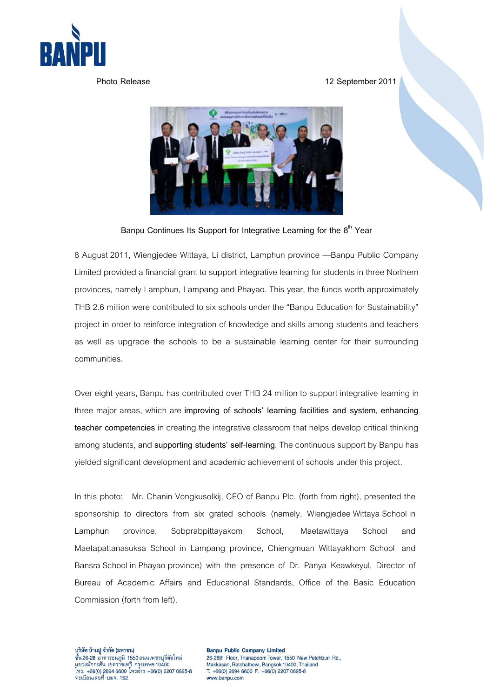

**Photo Release 12 September2011** 



Banpu Continues Its Support for Integrative Learning for the 8<sup>th</sup> Year

8 August 2011, Wiengjedee Wittaya, Li district, Lamphun province —Banpu Public Company Limited provided a financial grant to support integrative learning for students in three Northern provinces, namely Lamphun, Lampang and Phayao. This year, the funds worth approximately THB 2.6 million were contributed to six schools under the "Banpu Education for Sustainability" project in order to reinforce integration of knowledge and skills among students and teachers as well as upgrade the schools to be a sustainable learning center for their surrounding communities.

Over eight years, Banpu has contributed over THB 24 million to support integrative learning in three major areas, which are **improving of schools' learning facilities and system**, **enhancing teacher competencies** in creating the integrative classroom that helps develop critical thinking among students, and **supporting students' self-learning**. The continuous support by Banpu has yielded significant development and academic achievement of schools under this project.

In this photo: Mr. Chanin Vongkusolkij, CEO of Banpu Plc. (forth from right), presented the sponsorship to directors from six grated schools (namely, Wiengjedee Wittaya School in Lamphun province, Sobprabpittayakom School, Maetawittaya School and Maetapattanasuksa School in Lampang province, Chiengmuan Wittayakhom School and Bansra School in Phayao province) with the presence of Dr. Panya Keawkeyul, Director of Bureau of Academic Affairs and Educational Standards, Office of the Basic Education Commission (forth from left).